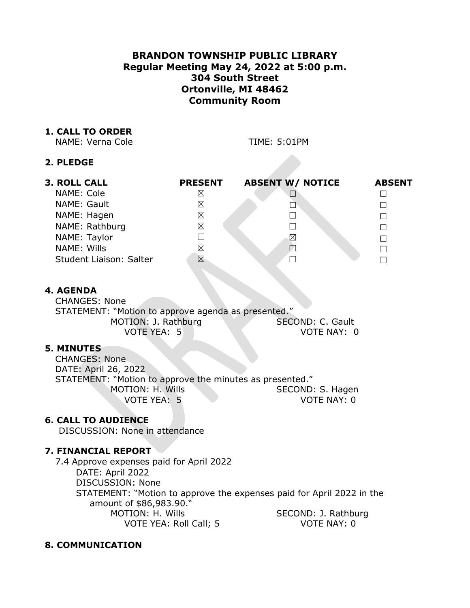# **BRANDON TOWNSHIP PUBLIC LIBRARY Regular Meeting May 24, 2022 at 5:00 p.m. 304 South Street Ortonville, MI 48462 Community Room**

### **1. CALL TO ORDER**

NAME: Verna Cole TIME: 5:01PM

### **2. PLEDGE**

| <b>3. ROLL CALL</b>     | <b>PRESENT</b> | <b>ABSENT W/ NOTICE</b>  | <b>ABSENT</b> |
|-------------------------|----------------|--------------------------|---------------|
| NAME: Cole              | ⊠              |                          |               |
| NAME: Gault             | ⊠              | $\overline{\phantom{a}}$ | П             |
| NAME: Hagen             | ⊠              |                          |               |
| NAME: Rathburg          | ⊠              |                          | П             |
| NAME: Taylor            |                | ⊠                        | П             |
| NAME: Wills             | ⊠              |                          |               |
| Student Liaison: Salter | ⊠              |                          |               |

# **4. AGENDA**

CHANGES: None STATEMENT: "Motion to approve agenda as presented." MOTION: J. Rathburg SECOND: C. Gault VOTE YEA: 5 VOTE NAY: 0

### **5. MINUTES**

CHANGES: None DATE: April 26, 2022 STATEMENT: "Motion to approve the minutes as presented." MOTION: H. Wills SECOND: S. Hagen VOTE YEA: 5 VOTE NAY: 0

## **6. CALL TO AUDIENCE**

DISCUSSION: None in attendance

## **7. FINANCIAL REPORT**

7.4 Approve expenses paid for April 2022 DATE: April 2022 DISCUSSION: None STATEMENT: "Motion to approve the expenses paid for April 2022 in the amount of \$86,983.90." MOTION: H. Wills SECOND: J. Rathburg VOTE YEA: Roll Call; 5 VOTE NAY: 0

## **8. COMMUNICATION**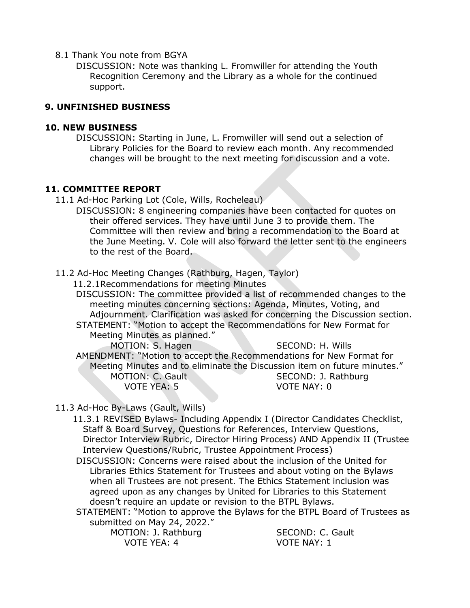### 8.1 Thank You note from BGYA

DISCUSSION: Note was thanking L. Fromwiller for attending the Youth Recognition Ceremony and the Library as a whole for the continued support.

### **9. UNFINISHED BUSINESS**

### **10. NEW BUSINESS**

DISCUSSION: Starting in June, L. Fromwiller will send out a selection of Library Policies for the Board to review each month. Any recommended changes will be brought to the next meeting for discussion and a vote.

#### **11. COMMITTEE REPORT**

- 11.1 Ad-Hoc Parking Lot (Cole, Wills, Rocheleau)
	- DISCUSSION: 8 engineering companies have been contacted for quotes on their offered services. They have until June 3 to provide them. The Committee will then review and bring a recommendation to the Board at the June Meeting. V. Cole will also forward the letter sent to the engineers to the rest of the Board.
- 11.2 Ad-Hoc Meeting Changes (Rathburg, Hagen, Taylor)
	- 11.2.1Recommendations for meeting Minutes

DISCUSSION: The committee provided a list of recommended changes to the meeting minutes concerning sections: Agenda, Minutes, Voting, and Adjournment. Clarification was asked for concerning the Discussion section. STATEMENT: "Motion to accept the Recommendations for New Format for Meeting Minutes as planned."

MOTION: S. Hagen SECOND: H. Wills AMENDMENT: "Motion to accept the Recommendations for New Format for Meeting Minutes and to eliminate the Discussion item on future minutes." MOTION: C. Gault SECOND: J. Rathburg VOTE YEA: 5 VOTE NAY: 0

11.3 Ad-Hoc By-Laws (Gault, Wills)

11.3.1 REVISED Bylaws- Including Appendix I (Director Candidates Checklist, Staff & Board Survey, Questions for References, Interview Questions, Director Interview Rubric, Director Hiring Process) AND Appendix II (Trustee Interview Questions/Rubric, Trustee Appointment Process)

DISCUSSION: Concerns were raised about the inclusion of the United for Libraries Ethics Statement for Trustees and about voting on the Bylaws when all Trustees are not present. The Ethics Statement inclusion was agreed upon as any changes by United for Libraries to this Statement doesn't require an update or revision to the BTPL Bylaws.

STATEMENT: "Motion to approve the Bylaws for the BTPL Board of Trustees as submitted on May 24, 2022."

MOTION: J. Rathburg SECOND: C. Gault VOTE YEA: 4 VOTE NAY: 1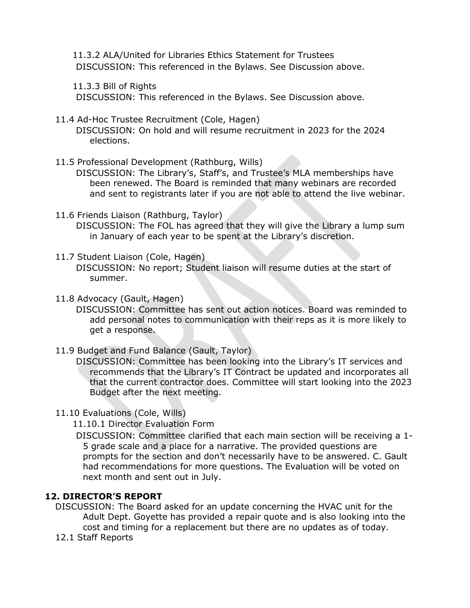11.3.2 ALA/United for Libraries Ethics Statement for Trustees DISCUSSION: This referenced in the Bylaws. See Discussion above.

11.3.3 Bill of Rights

DISCUSSION: This referenced in the Bylaws. See Discussion above.

11.4 Ad-Hoc Trustee Recruitment (Cole, Hagen)

DISCUSSION: On hold and will resume recruitment in 2023 for the 2024 elections.

11.5 Professional Development (Rathburg, Wills)

DISCUSSION: The Library's, Staff's, and Trustee's MLA memberships have been renewed. The Board is reminded that many webinars are recorded and sent to registrants later if you are not able to attend the live webinar.

11.6 Friends Liaison (Rathburg, Taylor)

DISCUSSION: The FOL has agreed that they will give the Library a lump sum in January of each year to be spent at the Library's discretion.

11.7 Student Liaison (Cole, Hagen)

DISCUSSION: No report; Student liaison will resume duties at the start of summer.

11.8 Advocacy (Gault, Hagen)

DISCUSSION: Committee has sent out action notices. Board was reminded to add personal notes to communication with their reps as it is more likely to get a response.

11.9 Budget and Fund Balance (Gault, Taylor)

DISCUSSION: Committee has been looking into the Library's IT services and recommends that the Library's IT Contract be updated and incorporates all that the current contractor does. Committee will start looking into the 2023 Budget after the next meeting.

11.10 Evaluations (Cole, Wills)

11.10.1 Director Evaluation Form

DISCUSSION: Committee clarified that each main section will be receiving a 1- 5 grade scale and a place for a narrative. The provided questions are prompts for the section and don't necessarily have to be answered. C. Gault had recommendations for more questions. The Evaluation will be voted on next month and sent out in July.

## **12. DIRECTOR'S REPORT**

DISCUSSION: The Board asked for an update concerning the HVAC unit for the Adult Dept. Goyette has provided a repair quote and is also looking into the cost and timing for a replacement but there are no updates as of today.

12.1 Staff Reports